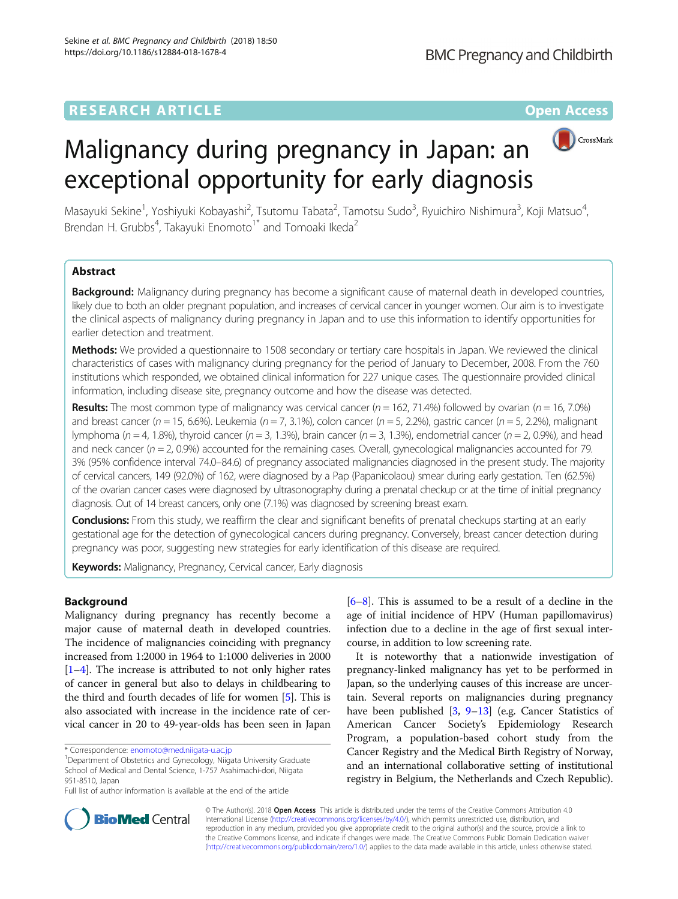## **RESEARCH ARTICLE Example 2014 12:30 The Contract of Contract ACCESS**



# Malignancy during pregnancy in Japan: an exceptional opportunity for early diagnosis

Masayuki Sekine<sup>1</sup>, Yoshiyuki Kobayashi<sup>2</sup>, Tsutomu Tabata<sup>2</sup>, Tamotsu Sudo<sup>3</sup>, Ryuichiro Nishimura<sup>3</sup>, Koji Matsuo<sup>4</sup> , Brendan H. Grubbs<sup>4</sup>, Takayuki Enomoto<sup>1\*</sup> and Tomoaki Ikeda<sup>2</sup>

## Abstract

Background: Malignancy during pregnancy has become a significant cause of maternal death in developed countries, likely due to both an older pregnant population, and increases of cervical cancer in younger women. Our aim is to investigate the clinical aspects of malignancy during pregnancy in Japan and to use this information to identify opportunities for earlier detection and treatment.

**Methods:** We provided a questionnaire to 1508 secondary or tertiary care hospitals in Japan. We reviewed the clinical characteristics of cases with malignancy during pregnancy for the period of January to December, 2008. From the 760 institutions which responded, we obtained clinical information for 227 unique cases. The questionnaire provided clinical information, including disease site, pregnancy outcome and how the disease was detected.

**Results:** The most common type of malignancy was cervical cancer ( $n = 162$ , 71.4%) followed by ovarian ( $n = 16$ , 7.0%) and breast cancer ( $n = 15$ , 6.6%). Leukemia ( $n = 7$ , 3.1%), colon cancer ( $n = 5$ , 2.2%), gastric cancer ( $n = 5$ , 2.2%), malignant lymphoma ( $n = 4$ , 1.8%), thyroid cancer ( $n = 3$ , 1.3%), brain cancer ( $n = 3$ , 1.3%), endometrial cancer ( $n = 2$ , 0.9%), and head and neck cancer ( $n = 2$ , 0.9%) accounted for the remaining cases. Overall, gynecological malignancies accounted for 79. 3% (95% confidence interval 74.0–84.6) of pregnancy associated malignancies diagnosed in the present study. The majority of cervical cancers, 149 (92.0%) of 162, were diagnosed by a Pap (Papanicolaou) smear during early gestation. Ten (62.5%) of the ovarian cancer cases were diagnosed by ultrasonography during a prenatal checkup or at the time of initial pregnancy diagnosis. Out of 14 breast cancers, only one (7.1%) was diagnosed by screening breast exam.

Conclusions: From this study, we reaffirm the clear and significant benefits of prenatal checkups starting at an early gestational age for the detection of gynecological cancers during pregnancy. Conversely, breast cancer detection during pregnancy was poor, suggesting new strategies for early identification of this disease are required.

Keywords: Malignancy, Pregnancy, Cervical cancer, Early diagnosis

### Background

Malignancy during pregnancy has recently become a major cause of maternal death in developed countries. The incidence of malignancies coinciding with pregnancy increased from 1:2000 in 1964 to 1:1000 deliveries in 2000  $[1-4]$  $[1-4]$  $[1-4]$  $[1-4]$  $[1-4]$ . The increase is attributed to not only higher rates of cancer in general but also to delays in childbearing to the third and fourth decades of life for women [[5](#page-3-0)]. This is also associated with increase in the incidence rate of cervical cancer in 20 to 49-year-olds has been seen in Japan

<sup>1</sup>Department of Obstetrics and Gynecology, Niigata University Graduate School of Medical and Dental Science, 1-757 Asahimachi-dori, Niigata 951-8510, Japan

[[6](#page-4-0)–[8](#page-4-0)]. This is assumed to be a result of a decline in the age of initial incidence of HPV (Human papillomavirus) infection due to a decline in the age of first sexual intercourse, in addition to low screening rate.

It is noteworthy that a nationwide investigation of pregnancy-linked malignancy has yet to be performed in Japan, so the underlying causes of this increase are uncertain. Several reports on malignancies during pregnancy have been published [[3](#page-3-0), [9](#page-4-0)–[13](#page-4-0)] (e.g. Cancer Statistics of American Cancer Society's Epidemiology Research Program, a population-based cohort study from the Cancer Registry and the Medical Birth Registry of Norway, and an international collaborative setting of institutional registry in Belgium, the Netherlands and Czech Republic).



© The Author(s). 2018 Open Access This article is distributed under the terms of the Creative Commons Attribution 4.0 International License [\(http://creativecommons.org/licenses/by/4.0/](http://creativecommons.org/licenses/by/4.0/)), which permits unrestricted use, distribution, and reproduction in any medium, provided you give appropriate credit to the original author(s) and the source, provide a link to the Creative Commons license, and indicate if changes were made. The Creative Commons Public Domain Dedication waiver [\(http://creativecommons.org/publicdomain/zero/1.0/](http://creativecommons.org/publicdomain/zero/1.0/)) applies to the data made available in this article, unless otherwise stated.

<sup>\*</sup> Correspondence: [enomoto@med.niigata-u.ac.jp](mailto:enomoto@med.niigata-u.ac.jp) <sup>1</sup>

Full list of author information is available at the end of the article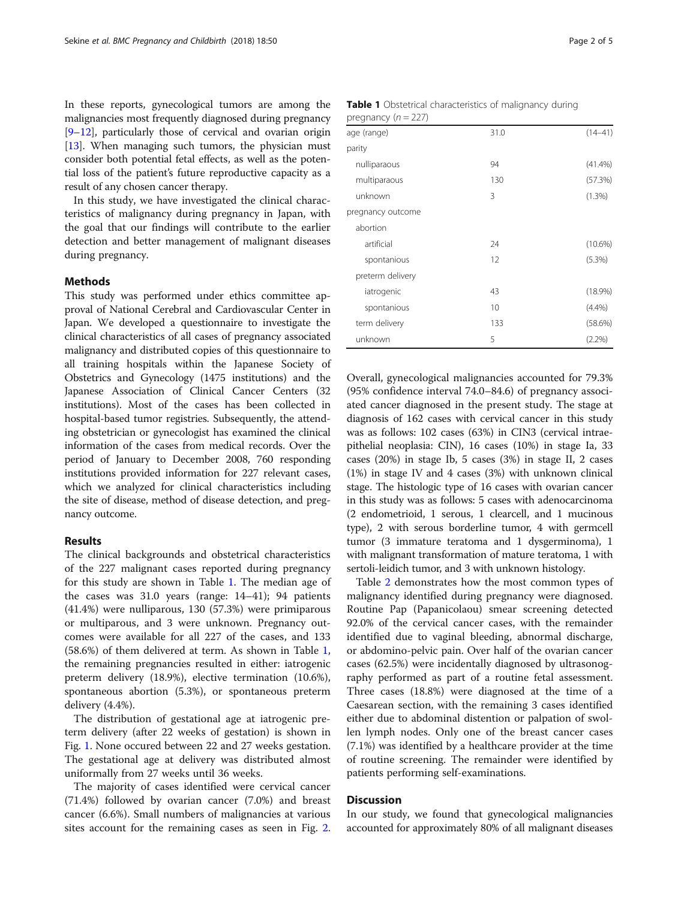In these reports, gynecological tumors are among the malignancies most frequently diagnosed during pregnancy [[9](#page-4-0)–[12](#page-4-0)], particularly those of cervical and ovarian origin [[13](#page-4-0)]. When managing such tumors, the physician must consider both potential fetal effects, as well as the potential loss of the patient's future reproductive capacity as a result of any chosen cancer therapy.

In this study, we have investigated the clinical characteristics of malignancy during pregnancy in Japan, with the goal that our findings will contribute to the earlier detection and better management of malignant diseases during pregnancy.

#### Methods

This study was performed under ethics committee approval of National Cerebral and Cardiovascular Center in Japan. We developed a questionnaire to investigate the clinical characteristics of all cases of pregnancy associated malignancy and distributed copies of this questionnaire to all training hospitals within the Japanese Society of Obstetrics and Gynecology (1475 institutions) and the Japanese Association of Clinical Cancer Centers (32 institutions). Most of the cases has been collected in hospital-based tumor registries. Subsequently, the attending obstetrician or gynecologist has examined the clinical information of the cases from medical records. Over the period of January to December 2008, 760 responding institutions provided information for 227 relevant cases, which we analyzed for clinical characteristics including the site of disease, method of disease detection, and pregnancy outcome.

#### Results

The clinical backgrounds and obstetrical characteristics of the 227 malignant cases reported during pregnancy for this study are shown in Table 1. The median age of the cases was 31.0 years (range: 14–41); 94 patients (41.4%) were nulliparous, 130 (57.3%) were primiparous or multiparous, and 3 were unknown. Pregnancy outcomes were available for all 227 of the cases, and 133 (58.6%) of them delivered at term. As shown in Table 1, the remaining pregnancies resulted in either: iatrogenic preterm delivery (18.9%), elective termination (10.6%), spontaneous abortion (5.3%), or spontaneous preterm delivery (4.4%).

The distribution of gestational age at iatrogenic preterm delivery (after 22 weeks of gestation) is shown in Fig. [1.](#page-2-0) None occured between 22 and 27 weeks gestation. The gestational age at delivery was distributed almost uniformally from 27 weeks until 36 weeks.

The majority of cases identified were cervical cancer (71.4%) followed by ovarian cancer (7.0%) and breast cancer (6.6%). Small numbers of malignancies at various sites account for the remaining cases as seen in Fig. [2](#page-2-0).

| <b>Table 1</b> Obstetrical characteristics of malignancy during |  |  |
|-----------------------------------------------------------------|--|--|
| pregnancy $(n = 227)$                                           |  |  |

| $P_1 \cup P_2 \cup P_3 \cup P_4 \cup P_5 \cup P_6$ |      |             |
|----------------------------------------------------|------|-------------|
| age (range)                                        | 31.0 | $(14 - 41)$ |
| parity                                             |      |             |
| nulliparaous                                       | 94   | (41.4%)     |
| multiparaous                                       | 130  | (57.3%)     |
| unknown                                            | 3    | (1.3%)      |
| pregnancy outcome                                  |      |             |
| abortion                                           |      |             |
| artificial                                         | 24   | $(10.6\%)$  |
| spontanious                                        | 12   | (5.3%)      |
| preterm delivery                                   |      |             |
| iatrogenic                                         | 43   | $(18.9\%)$  |
| spontanious                                        | 10   | (4.4%)      |
| term delivery                                      | 133  | (58.6%)     |
| unknown                                            | 5    | $(2.2\%)$   |

Overall, gynecological malignancies accounted for 79.3% (95% confidence interval 74.0–84.6) of pregnancy associated cancer diagnosed in the present study. The stage at diagnosis of 162 cases with cervical cancer in this study was as follows: 102 cases (63%) in CIN3 (cervical intraepithelial neoplasia: CIN), 16 cases (10%) in stage Ia, 33 cases (20%) in stage Ib, 5 cases (3%) in stage II, 2 cases (1%) in stage IV and 4 cases (3%) with unknown clinical stage. The histologic type of 16 cases with ovarian cancer in this study was as follows: 5 cases with adenocarcinoma (2 endometrioid, 1 serous, 1 clearcell, and 1 mucinous type), 2 with serous borderline tumor, 4 with germcell tumor (3 immature teratoma and 1 dysgerminoma), 1 with malignant transformation of mature teratoma, 1 with sertoli-leidich tumor, and 3 with unknown histology.

Table [2](#page-3-0) demonstrates how the most common types of malignancy identified during pregnancy were diagnosed. Routine Pap (Papanicolaou) smear screening detected 92.0% of the cervical cancer cases, with the remainder identified due to vaginal bleeding, abnormal discharge, or abdomino-pelvic pain. Over half of the ovarian cancer cases (62.5%) were incidentally diagnosed by ultrasonography performed as part of a routine fetal assessment. Three cases (18.8%) were diagnosed at the time of a Caesarean section, with the remaining 3 cases identified either due to abdominal distention or palpation of swollen lymph nodes. Only one of the breast cancer cases (7.1%) was identified by a healthcare provider at the time of routine screening. The remainder were identified by patients performing self-examinations.

#### **Discussion**

In our study, we found that gynecological malignancies accounted for approximately 80% of all malignant diseases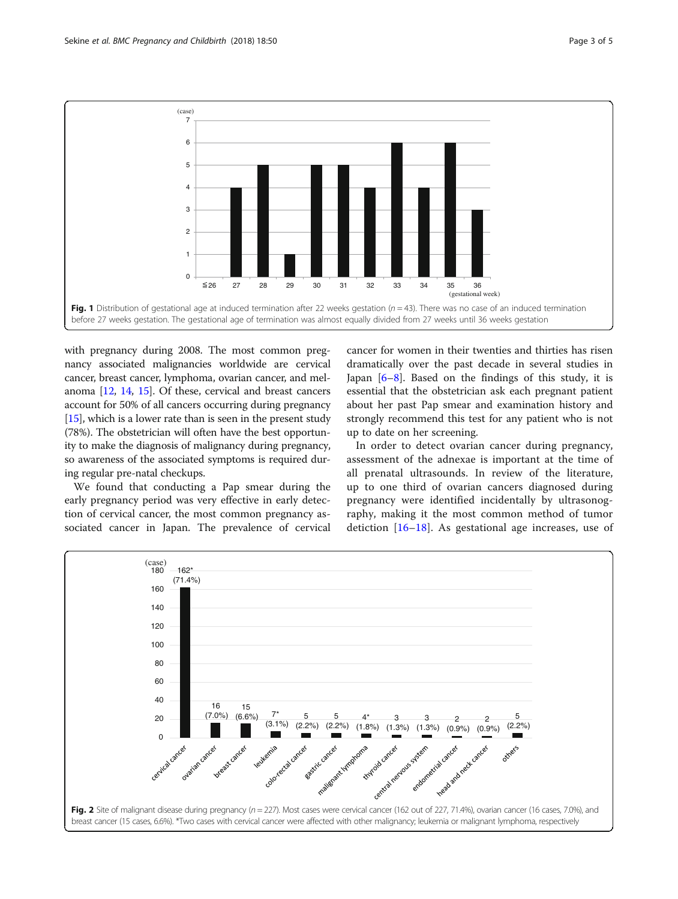<span id="page-2-0"></span>

with pregnancy during 2008. The most common pregnancy associated malignancies worldwide are cervical cancer, breast cancer, lymphoma, ovarian cancer, and melanoma [[12](#page-4-0), [14,](#page-4-0) [15\]](#page-4-0). Of these, cervical and breast cancers account for 50% of all cancers occurring during pregnancy  $[15]$  $[15]$  $[15]$ , which is a lower rate than is seen in the present study (78%). The obstetrician will often have the best opportunity to make the diagnosis of malignancy during pregnancy, so awareness of the associated symptoms is required during regular pre-natal checkups.

We found that conducting a Pap smear during the early pregnancy period was very effective in early detection of cervical cancer, the most common pregnancy associated cancer in Japan. The prevalence of cervical

cancer for women in their twenties and thirties has risen dramatically over the past decade in several studies in Japan  $[6-8]$  $[6-8]$  $[6-8]$ . Based on the findings of this study, it is essential that the obstetrician ask each pregnant patient about her past Pap smear and examination history and strongly recommend this test for any patient who is not up to date on her screening.

In order to detect ovarian cancer during pregnancy, assessment of the adnexae is important at the time of all prenatal ultrasounds. In review of the literature, up to one third of ovarian cancers diagnosed during pregnancy were identified incidentally by ultrasonography, making it the most common method of tumor detiction  $[16–18]$  $[16–18]$  $[16–18]$  $[16–18]$ . As gestational age increases, use of

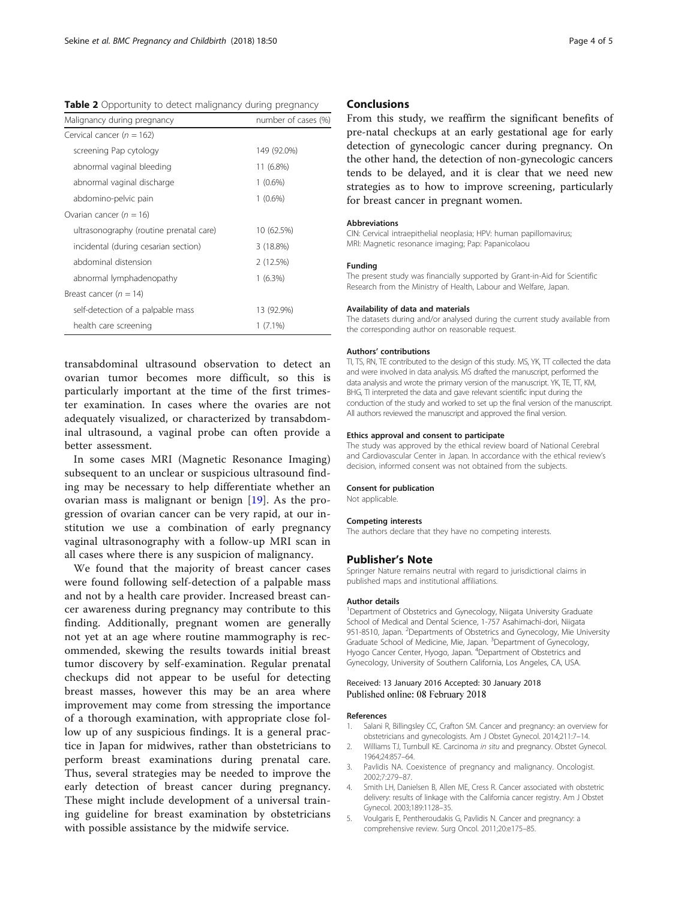<span id="page-3-0"></span>Table 2 Opportunity to detect malignancy during pregnancy

| Malignancy during pregnancy             | number of cases (%) |  |
|-----------------------------------------|---------------------|--|
| Cervical cancer ( $n = 162$ )           |                     |  |
| screening Pap cytology                  | 149 (92.0%)         |  |
| abnormal vaginal bleeding               | 11 (6.8%)           |  |
| abnormal vaginal discharge              | $1(0.6\%)$          |  |
| abdomino-pelvic pain                    | $1(0.6\%)$          |  |
| Ovarian cancer ( $n = 16$ )             |                     |  |
| ultrasonography (routine prenatal care) | 10 (62.5%)          |  |
| incidental (during cesarian section)    | 3 (18.8%)           |  |
| abdominal distension                    | 2(12.5%)            |  |
| abnormal lymphadenopathy                | $1(6.3\%)$          |  |
| Breast cancer ( $n = 14$ )              |                     |  |
| self-detection of a palpable mass       | 13 (92.9%)          |  |
| health care screening                   | $1(7.1\%)$          |  |

transabdominal ultrasound observation to detect an ovarian tumor becomes more difficult, so this is particularly important at the time of the first trimester examination. In cases where the ovaries are not adequately visualized, or characterized by transabdominal ultrasound, a vaginal probe can often provide a better assessment.

In some cases MRI (Magnetic Resonance Imaging) subsequent to an unclear or suspicious ultrasound finding may be necessary to help differentiate whether an ovarian mass is malignant or benign [[19\]](#page-4-0). As the progression of ovarian cancer can be very rapid, at our institution we use a combination of early pregnancy vaginal ultrasonography with a follow-up MRI scan in all cases where there is any suspicion of malignancy.

We found that the majority of breast cancer cases were found following self-detection of a palpable mass and not by a health care provider. Increased breast cancer awareness during pregnancy may contribute to this finding. Additionally, pregnant women are generally not yet at an age where routine mammography is recommended, skewing the results towards initial breast tumor discovery by self-examination. Regular prenatal checkups did not appear to be useful for detecting breast masses, however this may be an area where improvement may come from stressing the importance of a thorough examination, with appropriate close follow up of any suspicious findings. It is a general practice in Japan for midwives, rather than obstetricians to perform breast examinations during prenatal care. Thus, several strategies may be needed to improve the early detection of breast cancer during pregnancy. These might include development of a universal training guideline for breast examination by obstetricians with possible assistance by the midwife service.

#### **Conclusions**

From this study, we reaffirm the significant benefits of pre-natal checkups at an early gestational age for early detection of gynecologic cancer during pregnancy. On the other hand, the detection of non-gynecologic cancers tends to be delayed, and it is clear that we need new strategies as to how to improve screening, particularly for breast cancer in pregnant women.

#### **Abbreviations**

CIN: Cervical intraepithelial neoplasia; HPV: human papillomavirus; MRI: Magnetic resonance imaging; Pap: Papanicolaou

#### Funding

The present study was financially supported by Grant-in-Aid for Scientific Research from the Ministry of Health, Labour and Welfare, Japan.

#### Availability of data and materials

The datasets during and/or analysed during the current study available from the corresponding author on reasonable request.

#### Authors' contributions

TI, TS, RN, TE contributed to the design of this study. MS, YK, TT collected the data and were involved in data analysis. MS drafted the manuscript, performed the data analysis and wrote the primary version of the manuscript. YK, TE, TT, KM, BHG, TI interpreted the data and gave relevant scientific input during the conduction of the study and worked to set up the final version of the manuscript. All authors reviewed the manuscript and approved the final version.

#### Ethics approval and consent to participate

The study was approved by the ethical review board of National Cerebral and Cardiovascular Center in Japan. In accordance with the ethical review's decision, informed consent was not obtained from the subjects.

#### Consent for publication

Not applicable.

#### Competing interests

The authors declare that they have no competing interests.

#### Publisher's Note

Springer Nature remains neutral with regard to jurisdictional claims in published maps and institutional affiliations.

#### Author details

<sup>1</sup>Department of Obstetrics and Gynecology, Niigata University Graduate School of Medical and Dental Science, 1-757 Asahimachi-dori, Niigata 951-8510, Japan. <sup>2</sup> Departments of Obstetrics and Gynecology, Mie University Graduate School of Medicine, Mie, Japan. <sup>3</sup> Department of Gynecology, Hyogo Cancer Center, Hyogo, Japan. <sup>4</sup>Department of Obstetrics and Gynecology, University of Southern California, Los Angeles, CA, USA.

#### Received: 13 January 2016 Accepted: 30 January 2018 Published online: 08 February 2018

#### References

- 1. Salani R, Billingsley CC, Crafton SM. Cancer and pregnancy: an overview for obstetricians and gynecologists. Am J Obstet Gynecol. 2014;211:7–14.
- Williams TJ, Turnbull KE. Carcinoma in situ and pregnancy. Obstet Gynecol. 1964;24:857–64.
- 3. Pavlidis NA. Coexistence of pregnancy and malignancy. Oncologist. 2002;7:279–87.
- 4. Smith LH, Danielsen B, Allen ME, Cress R. Cancer associated with obstetric delivery: results of linkage with the California cancer registry. Am J Obstet Gynecol. 2003;189:1128–35.
- 5. Voulgaris E, Pentheroudakis G, Pavlidis N. Cancer and pregnancy: a comprehensive review. Surg Oncol. 2011;20:e175–85.